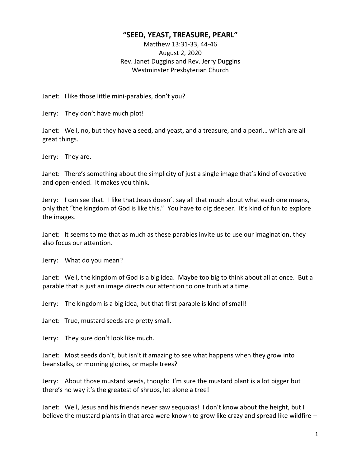## **"SEED, YEAST, TREASURE, PEARL"**

Matthew 13:31-33, 44-46 August 2, 2020 Rev. Janet Duggins and Rev. Jerry Duggins Westminster Presbyterian Church

Janet: I like those little mini-parables, don't you?

Jerry: They don't have much plot!

Janet: Well, no, but they have a seed, and yeast, and a treasure, and a pearl… which are all great things.

Jerry: They are.

Janet: There's something about the simplicity of just a single image that's kind of evocative and open-ended. It makes you think.

Jerry: I can see that. I like that Jesus doesn't say all that much about what each one means, only that "the kingdom of God is like this." You have to dig deeper. It's kind of fun to explore the images.

Janet: It seems to me that as much as these parables invite us to use our imagination, they also focus our attention.

Jerry: What do you mean?

Janet: Well, the kingdom of God is a big idea. Maybe too big to think about all at once. But a parable that is just an image directs our attention to one truth at a time.

Jerry: The kingdom is a big idea, but that first parable is kind of small!

Janet: True, mustard seeds are pretty small.

Jerry: They sure don't look like much.

Janet: Most seeds don't, but isn't it amazing to see what happens when they grow into beanstalks, or morning glories, or maple trees?

Jerry: About those mustard seeds, though: I'm sure the mustard plant is a lot bigger but there's no way it's the greatest of shrubs, let alone a tree!

Janet: Well, Jesus and his friends never saw sequoias! I don't know about the height, but I believe the mustard plants in that area were known to grow like crazy and spread like wildfire –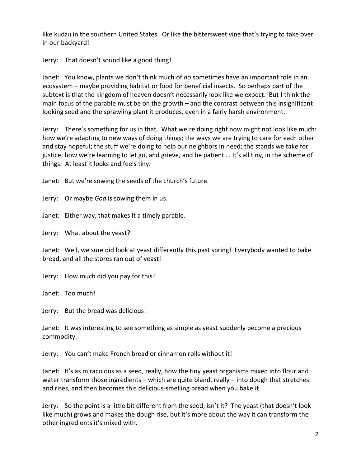like kudzu in the southern United States. Or like the bittersweet vine that's trying to take over in our backyard!

Jerry: That doesn't sound like a good thing!

Janet: You know, plants we don't think much of *do* sometimes have an important role in an ecosystem – maybe providing habitat or food for beneficial insects. So perhaps part of the subtext is that the kingdom of heaven doesn't necessarily look like we expect. But I think the main focus of the parable must be on the growth – and the contrast between this insignificant looking seed and the sprawling plant it produces, even in a fairly harsh environment.

Jerry: There's something for us in that. What we're doing right now might not look like much: how we're adapting to new ways of doing things; the ways we are trying to care for each other and stay hopeful; the stuff we're doing to help our neighbors in need; the stands we take for justice; how we're learning to let go, and grieve, and be patient…. It's all tiny, in the scheme of things. At least it looks and feels tiny.

Janet: But we're sowing the seeds of the church's future.

Jerry: Or maybe *God* is sowing them in us.

Janet: Either way, that makes it a timely parable.

Jerry: What about the yeast?

Janet: Well, we sure did look at yeast differently this past spring! Everybody wanted to bake bread, and all the stores ran out of yeast!

Jerry: How much did you pay for this?

Janet: Too much!

Jerry: But the bread was delicious!

Janet: It was interesting to see something as simple as yeast suddenly become a precious commodity.

Jerry: You can't make French bread or cinnamon rolls without it!

Janet: It's as miraculous as a seed, really, how the tiny yeast organisms mixed into flour and water transform those ingredients – which are quite bland, really - into dough that stretches and rises, and then becomes this delicious-smelling bread when you bake it.

Jerry: So the point is a little bit different from the seed, isn't it? The yeast (that doesn't look like much) grows and makes the dough rise, but it's more about the way it can transform the other ingredients it's mixed with.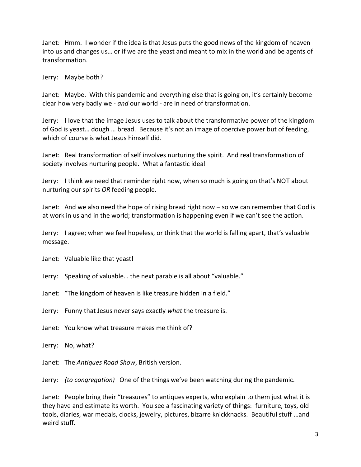Janet: Hmm. I wonder if the idea is that Jesus puts the good news of the kingdom of heaven into us and changes us… or if we are the yeast and meant to mix in the world and be agents of transformation.

Jerry: Maybe both?

Janet: Maybe. With this pandemic and everything else that is going on, it's certainly become clear how very badly we - *and* our world - are in need of transformation.

Jerry: I love that the image Jesus uses to talk about the transformative power of the kingdom of God is yeast… dough … bread. Because it's not an image of coercive power but of feeding, which of course is what Jesus himself did.

Janet: Real transformation of self involves nurturing the spirit. And real transformation of society involves nurturing people. What a fantastic idea!

Jerry: I think we need that reminder right now, when so much is going on that's NOT about nurturing our spirits *OR* feeding people.

Janet: And we also need the hope of rising bread right now – so we can remember that God is at work in us and in the world; transformation is happening even if we can't see the action.

Jerry: I agree; when we feel hopeless, or think that the world is falling apart, that's valuable message.

Janet: Valuable like that yeast!

Jerry: Speaking of valuable… the next parable is all about "valuable."

Janet: "The kingdom of heaven is like treasure hidden in a field."

Jerry: Funny that Jesus never says exactly *what* the treasure is.

Janet: You know what treasure makes me think of?

Jerry: No, what?

Janet: The *Antiques Road Show*, British version.

Jerry: *(to congregation)* One of the things we've been watching during the pandemic.

Janet: People bring their "treasures" to antiques experts, who explain to them just what it is they have and estimate its worth. You see a fascinating variety of things: furniture, toys, old tools, diaries, war medals, clocks, jewelry, pictures, bizarre knickknacks. Beautiful stuff …and weird stuff.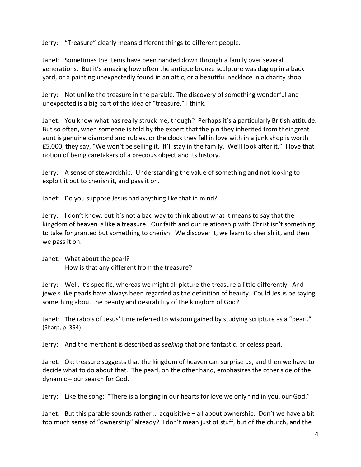Jerry: "Treasure" clearly means different things to different people.

Janet: Sometimes the items have been handed down through a family over several generations. But it's amazing how often the antique bronze sculpture was dug up in a back yard, or a painting unexpectedly found in an attic, or a beautiful necklace in a charity shop.

Jerry: Not unlike the treasure in the parable. The discovery of something wonderful and unexpected is a big part of the idea of "treasure," I think.

Janet: You know what has really struck me, though? Perhaps it's a particularly British attitude. But so often, when someone is told by the expert that the pin they inherited from their great aunt is genuine diamond and rubies, or the clock they fell in love with in a junk shop is worth £5,000, they say, "We won't be selling it. It'll stay in the family. We'll look after it." I love that notion of being caretakers of a precious object and its history.

Jerry: A sense of stewardship. Understanding the value of something and not looking to exploit it but to cherish it, and pass it on.

Janet: Do you suppose Jesus had anything like that in mind?

Jerry: I don't know, but it's not a bad way to think about what it means to say that the kingdom of heaven is like a treasure. Our faith and our relationship with Christ isn't something to take for granted but something to cherish. We discover it, we learn to cherish it, and then we pass it on.

Janet: What about the pearl? How is that any different from the treasure?

Jerry: Well, it's specific, whereas we might all picture the treasure a little differently. And jewels like pearls have always been regarded as the definition of beauty. Could Jesus be saying something about the beauty and desirability of the kingdom of God?

Janet: The rabbis of Jesus' time referred to wisdom gained by studying scripture as a "pearl." (Sharp, p. 394)

Jerry: And the merchant is described as *seeking* that one fantastic, priceless pearl.

Janet: Ok; treasure suggests that the kingdom of heaven can surprise us, and then we have to decide what to do about that. The pearl, on the other hand, emphasizes the other side of the dynamic – our search for God.

Jerry: Like the song: "There is a longing in our hearts for love we only find in you, our God."

Janet: But this parable sounds rather … acquisitive – all about ownership. Don't we have a bit too much sense of "ownership" already? I don't mean just of stuff, but of the church, and the